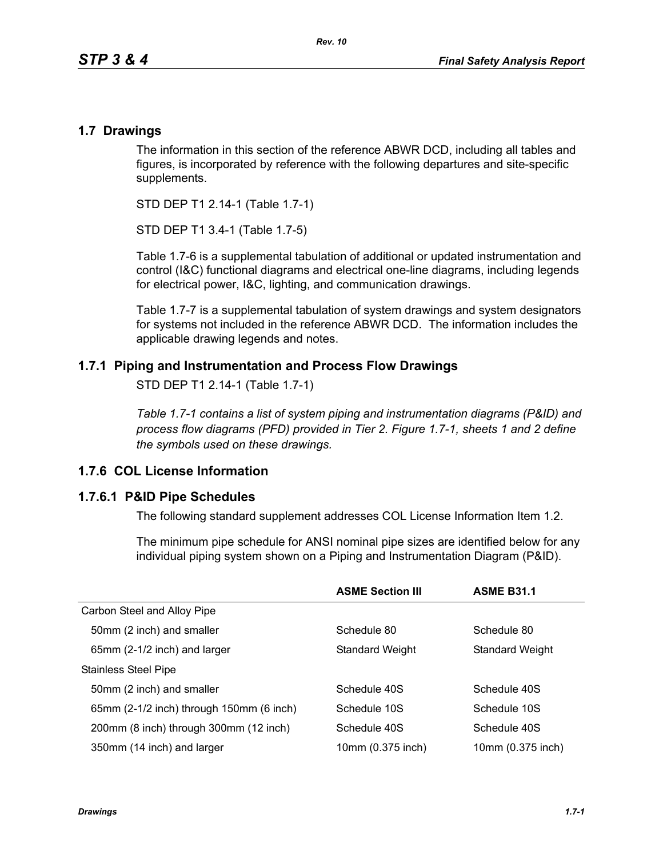### **1.7 Drawings**

The information in this section of the reference ABWR DCD, including all tables and figures, is incorporated by reference with the following departures and site-specific supplements.

STD DEP T1 2.14-1 (Table 1.7-1)

STD DEP T1 3.4-1 (Table 1.7-5)

Table [1.7-6](#page-3-0) is a supplemental tabulation of additional or updated instrumentation and control (I&C) functional diagrams and electrical one-line diagrams, including legends for electrical power, I&C, lighting, and communication drawings.

Table 1.7-7 is a supplemental tabulation of system drawings and system designators for systems not included in the reference ABWR DCD. The information includes the applicable drawing legends and notes.

## **1.7.1 Piping and Instrumentation and Process Flow Drawings**

STD DEP T1 2.14-1 (Table 1.7-1)

*Table 1.7-1 contains a list of system piping and instrumentation diagrams (P&ID) and process flow diagrams (PFD) provided in Tier 2. Figure 1.7-1, sheets 1 and 2 define the symbols used on these drawings.*

# **1.7.6 COL License Information**

### **1.7.6.1 P&ID Pipe Schedules**

The following standard supplement addresses COL License Information Item 1.2.

The minimum pipe schedule for ANSI nominal pipe sizes are identified below for any individual piping system shown on a Piping and Instrumentation Diagram (P&ID).

|                                          | <b>ASME Section III</b> | <b>ASME B31.1</b> |
|------------------------------------------|-------------------------|-------------------|
| Carbon Steel and Alloy Pipe              |                         |                   |
| 50mm (2 inch) and smaller                | Schedule 80             | Schedule 80       |
| 65mm (2-1/2 inch) and larger             | <b>Standard Weight</b>  | Standard Weight   |
| <b>Stainless Steel Pipe</b>              |                         |                   |
| 50mm (2 inch) and smaller                | Schedule 40S            | Schedule 40S      |
| 65mm (2-1/2 inch) through 150mm (6 inch) | Schedule 10S            | Schedule 10S      |
| 200mm (8 inch) through 300mm (12 inch)   | Schedule 40S            | Schedule 40S      |
| 350mm (14 inch) and larger               | 10mm (0.375 inch)       | 10mm (0.375 inch) |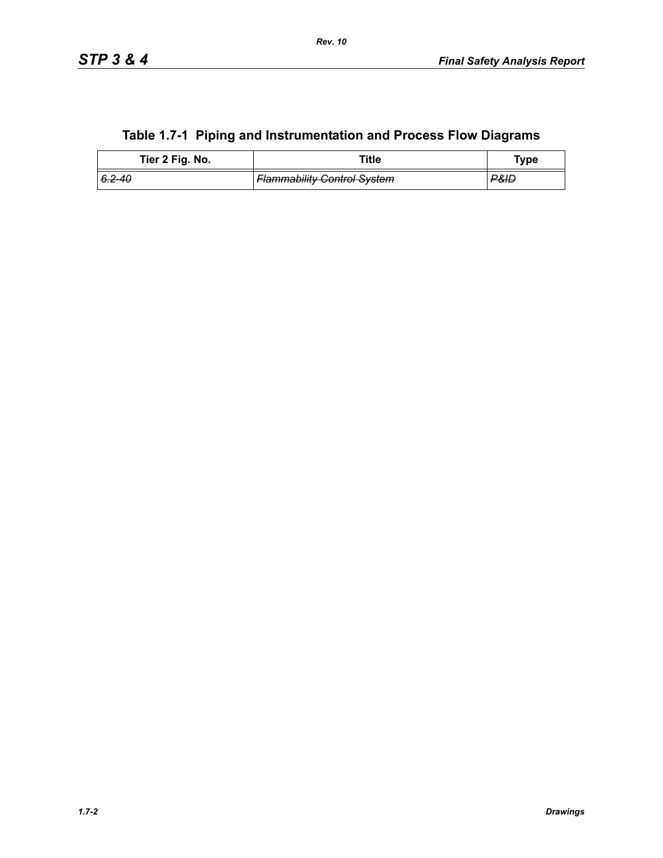|  | Table 1.7-1 Piping and Instrumentation and Process Flow Diagrams |  |
|--|------------------------------------------------------------------|--|
|--|------------------------------------------------------------------|--|

| Tier 2 Fig. No. | Title                              | Type            |
|-----------------|------------------------------------|-----------------|
| $6.2 - 40$      | <b>Flammability Control System</b> | <b>P&amp;IL</b> |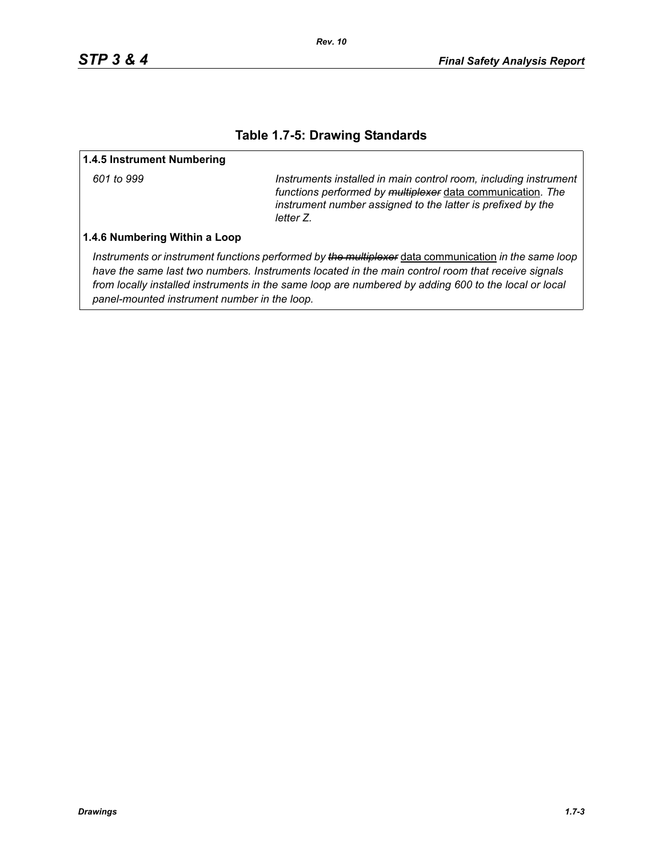## **Table 1.7-5: Drawing Standards**

#### **1.4.5 Instrument Numbering**

*601 to 999 Instruments installed in main control room, including instrument functions performed by multiplexer* data communication*. The instrument number assigned to the latter is prefixed by the letter Z.*

#### **1.4.6 Numbering Within a Loop**

*Instruments or instrument functions performed by the multiplexer* data communication *in the same loop have the same last two numbers. Instruments located in the main control room that receive signals from locally installed instruments in the same loop are numbered by adding 600 to the local or local panel-mounted instrument number in the loop.*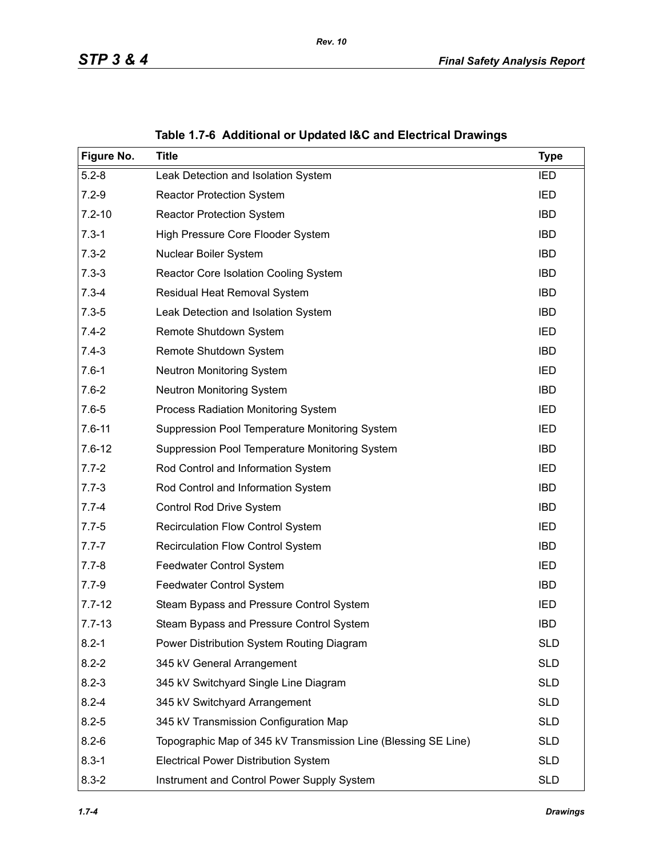<span id="page-3-0"></span>

| Figure No. | <b>Title</b>                                                   | <b>Type</b> |
|------------|----------------------------------------------------------------|-------------|
| $5.2 - 8$  | Leak Detection and Isolation System                            | IED         |
| $7.2 - 9$  | <b>Reactor Protection System</b>                               | <b>IED</b>  |
| $7.2 - 10$ | <b>Reactor Protection System</b>                               | <b>IBD</b>  |
| $7.3 - 1$  | High Pressure Core Flooder System                              | <b>IBD</b>  |
| $7.3 - 2$  | Nuclear Boiler System                                          | <b>IBD</b>  |
| $7.3 - 3$  | Reactor Core Isolation Cooling System                          | <b>IBD</b>  |
| $7.3 - 4$  | Residual Heat Removal System                                   | <b>IBD</b>  |
| $7.3 - 5$  | Leak Detection and Isolation System                            | <b>IBD</b>  |
| $7.4 - 2$  | Remote Shutdown System                                         | IED         |
| $7.4 - 3$  | Remote Shutdown System                                         | <b>IBD</b>  |
| $7.6 - 1$  | Neutron Monitoring System                                      | IED         |
| $7.6 - 2$  | <b>Neutron Monitoring System</b>                               | <b>IBD</b>  |
| $7.6 - 5$  | Process Radiation Monitoring System                            | IED         |
| $7.6 - 11$ | Suppression Pool Temperature Monitoring System                 | IED         |
| $7.6 - 12$ | Suppression Pool Temperature Monitoring System                 | <b>IBD</b>  |
| $7.7 - 2$  | Rod Control and Information System                             | <b>IED</b>  |
| $7.7 - 3$  | Rod Control and Information System                             | <b>IBD</b>  |
| $7.7 - 4$  | Control Rod Drive System                                       | <b>IBD</b>  |
| $7.7 - 5$  | <b>Recirculation Flow Control System</b>                       | IED         |
| $7.7 - 7$  | Recirculation Flow Control System                              | <b>IBD</b>  |
| $7.7 - 8$  | Feedwater Control System                                       | IED         |
| $7.7 - 9$  | Feedwater Control System                                       | <b>IBD</b>  |
| $7.7 - 12$ | Steam Bypass and Pressure Control System                       | IED         |
| $7.7 - 13$ | Steam Bypass and Pressure Control System                       | <b>IBD</b>  |
| $8.2 - 1$  | Power Distribution System Routing Diagram                      | <b>SLD</b>  |
| $8.2 - 2$  | 345 kV General Arrangement                                     | <b>SLD</b>  |
| $8.2 - 3$  | 345 kV Switchyard Single Line Diagram                          | <b>SLD</b>  |
| $8.2 - 4$  | 345 kV Switchyard Arrangement                                  | <b>SLD</b>  |
| $8.2 - 5$  | 345 kV Transmission Configuration Map                          | <b>SLD</b>  |
| $8.2 - 6$  | Topographic Map of 345 kV Transmission Line (Blessing SE Line) | <b>SLD</b>  |
| $8.3 - 1$  | <b>Electrical Power Distribution System</b>                    | <b>SLD</b>  |
| $8.3 - 2$  | Instrument and Control Power Supply System                     | <b>SLD</b>  |

**Table 1.7-6 Additional or Updated I&C and Electrical Drawings**